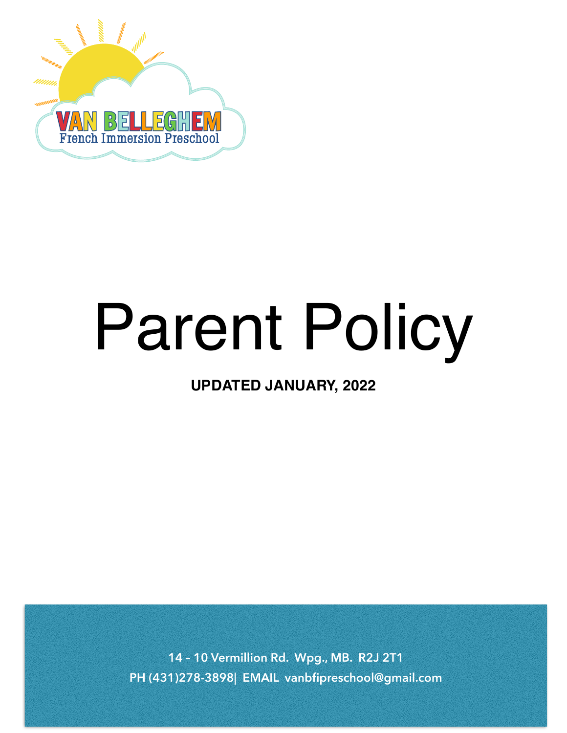

# Parent Policy

**UPDATED JANUARY, 2022** 

**14 – 10 Vermillion Rd. Wpg., MB. R2J 2T1 PH (431)278-3898| EMAIL vanbfipreschool@gmail.com**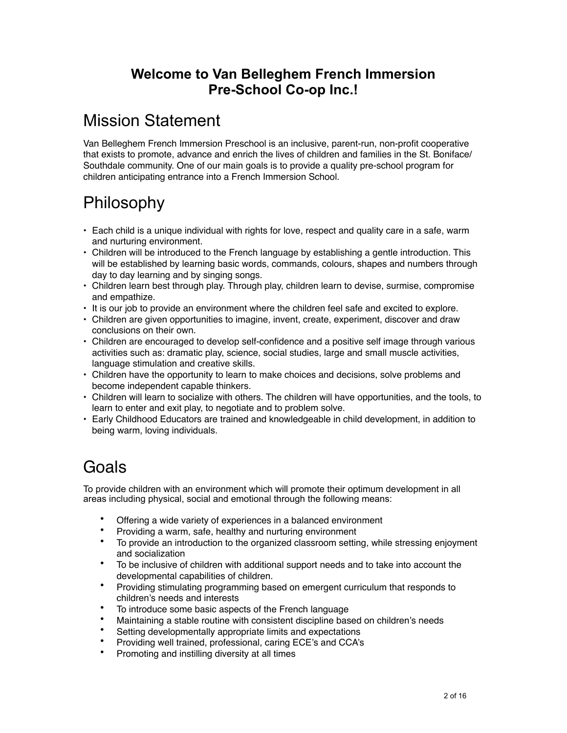## **Welcome to Van Belleghem French Immersion Pre-School Co-op Inc.!**

## Mission Statement

Van Belleghem French Immersion Preschool is an inclusive, parent-run, non-profit cooperative that exists to promote, advance and enrich the lives of children and families in the St. Boniface/ Southdale community. One of our main goals is to provide a quality pre-school program for children anticipating entrance into a French Immersion School.

# Philosophy

- Each child is a unique individual with rights for love, respect and quality care in a safe, warm and nurturing environment.
- Children will be introduced to the French language by establishing a gentle introduction. This will be established by learning basic words, commands, colours, shapes and numbers through day to day learning and by singing songs.
- Children learn best through play. Through play, children learn to devise, surmise, compromise and empathize.
- It is our job to provide an environment where the children feel safe and excited to explore.
- Children are given opportunities to imagine, invent, create, experiment, discover and draw conclusions on their own.
- Children are encouraged to develop self-confidence and a positive self image through various activities such as: dramatic play, science, social studies, large and small muscle activities, language stimulation and creative skills.
- Children have the opportunity to learn to make choices and decisions, solve problems and become independent capable thinkers.
- Children will learn to socialize with others. The children will have opportunities, and the tools, to learn to enter and exit play, to negotiate and to problem solve.
- Early Childhood Educators are trained and knowledgeable in child development, in addition to being warm, loving individuals.

# Goals

To provide children with an environment which will promote their optimum development in all areas including physical, social and emotional through the following means:

- Offering a wide variety of experiences in a balanced environment
- Providing a warm, safe, healthy and nurturing environment
- To provide an introduction to the organized classroom setting, while stressing enjoyment and socialization
- To be inclusive of children with additional support needs and to take into account the developmental capabilities of children.
- Providing stimulating programming based on emergent curriculum that responds to children's needs and interests
- To introduce some basic aspects of the French language
- Maintaining a stable routine with consistent discipline based on children's needs
- Setting developmentally appropriate limits and expectations
- Providing well trained, professional, caring ECE's and CCA's
- Promoting and instilling diversity at all times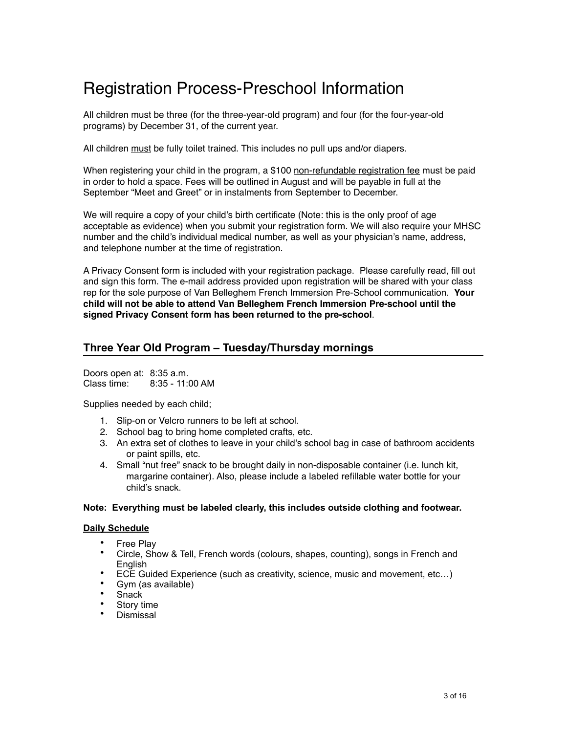# Registration Process-Preschool Information

All children must be three (for the three-year-old program) and four (for the four-year-old programs) by December 31, of the current year.

All children must be fully toilet trained. This includes no pull ups and/or diapers.

When registering your child in the program, a \$100 non-refundable registration fee must be paid in order to hold a space. Fees will be outlined in August and will be payable in full at the September "Meet and Greet" or in instalments from September to December.

We will require a copy of your child's birth certificate (Note: this is the only proof of age acceptable as evidence) when you submit your registration form. We will also require your MHSC number and the child's individual medical number, as well as your physician's name, address, and telephone number at the time of registration.

A Privacy Consent form is included with your registration package. Please carefully read, fill out and sign this form. The e-mail address provided upon registration will be shared with your class rep for the sole purpose of Van Belleghem French Immersion Pre-School communication. **Your child will not be able to attend Van Belleghem French Immersion Pre-school until the signed Privacy Consent form has been returned to the pre-school**.

#### **Three Year Old Program – Tuesday/Thursday mornings**

Doors open at: 8:35 a.m. Class time: 8:35 - 11:00 AM

Supplies needed by each child;

- 1. Slip-on or Velcro runners to be left at school.
- 2. School bag to bring home completed crafts, etc.
- 3. An extra set of clothes to leave in your child's school bag in case of bathroom accidents or paint spills, etc.
- 4. Small "nut free" snack to be brought daily in non-disposable container (i.e. lunch kit, margarine container). Also, please include a labeled refillable water bottle for your child's snack.

#### **Note: Everything must be labeled clearly, this includes outside clothing and footwear.**

#### **Daily Schedule**

- **Free Plav**
- Circle, Show & Tell, French words (colours, shapes, counting), songs in French and **English**
- ECE Guided Experience (such as creativity, science, music and movement, etc…)
- Gym (as available)
- Snack
- Story time
- Dismissal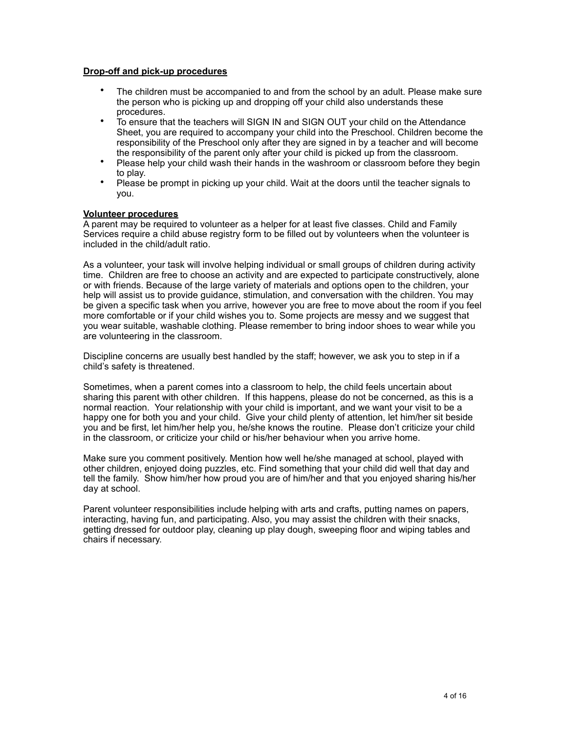#### **Drop-off and pick-up procedures**

- The children must be accompanied to and from the school by an adult. Please make sure the person who is picking up and dropping off your child also understands these procedures.
- To ensure that the teachers will SIGN IN and SIGN OUT your child on the Attendance Sheet, you are required to accompany your child into the Preschool. Children become the responsibility of the Preschool only after they are signed in by a teacher and will become the responsibility of the parent only after your child is picked up from the classroom.
- Please help your child wash their hands in the washroom or classroom before they begin to play.
- Please be prompt in picking up your child. Wait at the doors until the teacher signals to you.

#### **Volunteer procedures**

A parent may be required to volunteer as a helper for at least five classes. Child and Family Services require a child abuse registry form to be filled out by volunteers when the volunteer is included in the child/adult ratio.

As a volunteer, your task will involve helping individual or small groups of children during activity time. Children are free to choose an activity and are expected to participate constructively, alone or with friends. Because of the large variety of materials and options open to the children, your help will assist us to provide guidance, stimulation, and conversation with the children. You may be given a specific task when you arrive, however you are free to move about the room if you feel more comfortable or if your child wishes you to. Some projects are messy and we suggest that you wear suitable, washable clothing. Please remember to bring indoor shoes to wear while you are volunteering in the classroom.

Discipline concerns are usually best handled by the staff; however, we ask you to step in if a child's safety is threatened.

Sometimes, when a parent comes into a classroom to help, the child feels uncertain about sharing this parent with other children. If this happens, please do not be concerned, as this is a normal reaction. Your relationship with your child is important, and we want your visit to be a happy one for both you and your child. Give your child plenty of attention, let him/her sit beside you and be first, let him/her help you, he/she knows the routine. Please don't criticize your child in the classroom, or criticize your child or his/her behaviour when you arrive home.

Make sure you comment positively. Mention how well he/she managed at school, played with other children, enjoyed doing puzzles, etc. Find something that your child did well that day and tell the family. Show him/her how proud you are of him/her and that you enjoyed sharing his/her day at school.

Parent volunteer responsibilities include helping with arts and crafts, putting names on papers, interacting, having fun, and participating. Also, you may assist the children with their snacks, getting dressed for outdoor play, cleaning up play dough, sweeping floor and wiping tables and chairs if necessary.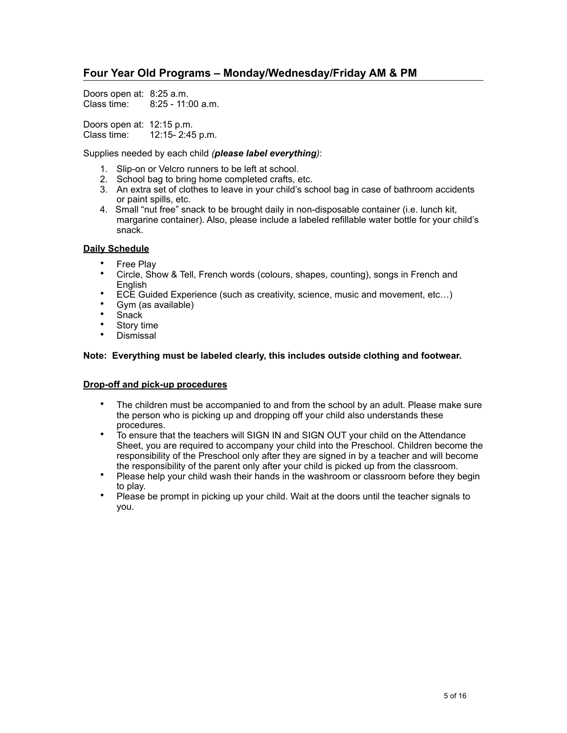#### **Four Year Old Programs – Monday/Wednesday/Friday AM & PM**

Doors open at: 8:25 a.m. Class time: 8:25 - 11:00 a.m.

Doors open at: 12:15 p.m. Class time: 12:15- 2:45 p.m.

Supplies needed by each child *(please label everything)*:

- 1. Slip-on or Velcro runners to be left at school.
- 2. School bag to bring home completed crafts, etc.
- 3. An extra set of clothes to leave in your child's school bag in case of bathroom accidents or paint spills, etc.
- 4. Small "nut free" snack to be brought daily in non-disposable container (i.e. lunch kit, margarine container). Also, please include a labeled refillable water bottle for your child's snack.

#### **Daily Schedule**

- **Free Play**
- Circle, Show & Tell, French words (colours, shapes, counting), songs in French and English
- ECE Guided Experience (such as creativity, science, music and movement, etc…)
- Gym (as available)
- Snack<br>• Stop ti
- Story time
- Dismissal

#### **Note: Everything must be labeled clearly, this includes outside clothing and footwear.**

#### **Drop-off and pick-up procedures**

- The children must be accompanied to and from the school by an adult. Please make sure the person who is picking up and dropping off your child also understands these procedures.
- To ensure that the teachers will SIGN IN and SIGN OUT your child on the Attendance Sheet, you are required to accompany your child into the Preschool. Children become the responsibility of the Preschool only after they are signed in by a teacher and will become the responsibility of the parent only after your child is picked up from the classroom.
- Please help your child wash their hands in the washroom or classroom before they begin to play.
- Please be prompt in picking up your child. Wait at the doors until the teacher signals to you.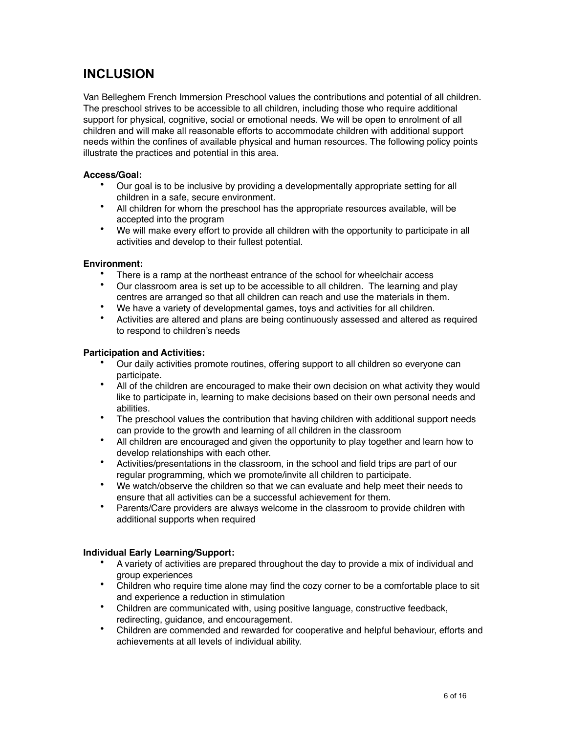## **INCLUSION**

Van Belleghem French Immersion Preschool values the contributions and potential of all children. The preschool strives to be accessible to all children, including those who require additional support for physical, cognitive, social or emotional needs. We will be open to enrolment of all children and will make all reasonable efforts to accommodate children with additional support needs within the confines of available physical and human resources. The following policy points illustrate the practices and potential in this area.

#### **Access/Goal:**

- Our goal is to be inclusive by providing a developmentally appropriate setting for all children in a safe, secure environment.
- All children for whom the preschool has the appropriate resources available, will be accepted into the program
- We will make every effort to provide all children with the opportunity to participate in all activities and develop to their fullest potential.

#### **Environment:**

- There is a ramp at the northeast entrance of the school for wheelchair access
- Our classroom area is set up to be accessible to all children. The learning and play centres are arranged so that all children can reach and use the materials in them.
- We have a variety of developmental games, toys and activities for all children.
- Activities are altered and plans are being continuously assessed and altered as required to respond to children's needs

#### **Participation and Activities:**

- Our daily activities promote routines, offering support to all children so everyone can participate.
- All of the children are encouraged to make their own decision on what activity they would like to participate in, learning to make decisions based on their own personal needs and abilities.
- The preschool values the contribution that having children with additional support needs can provide to the growth and learning of all children in the classroom
- All children are encouraged and given the opportunity to play together and learn how to develop relationships with each other.
- Activities/presentations in the classroom, in the school and field trips are part of our regular programming, which we promote/invite all children to participate.
- We watch/observe the children so that we can evaluate and help meet their needs to ensure that all activities can be a successful achievement for them.
- Parents/Care providers are always welcome in the classroom to provide children with additional supports when required

#### **Individual Early Learning/Support:**

- A variety of activities are prepared throughout the day to provide a mix of individual and group experiences
- Children who require time alone may find the cozy corner to be a comfortable place to sit and experience a reduction in stimulation
- Children are communicated with, using positive language, constructive feedback, redirecting, guidance, and encouragement.
- Children are commended and rewarded for cooperative and helpful behaviour, efforts and achievements at all levels of individual ability.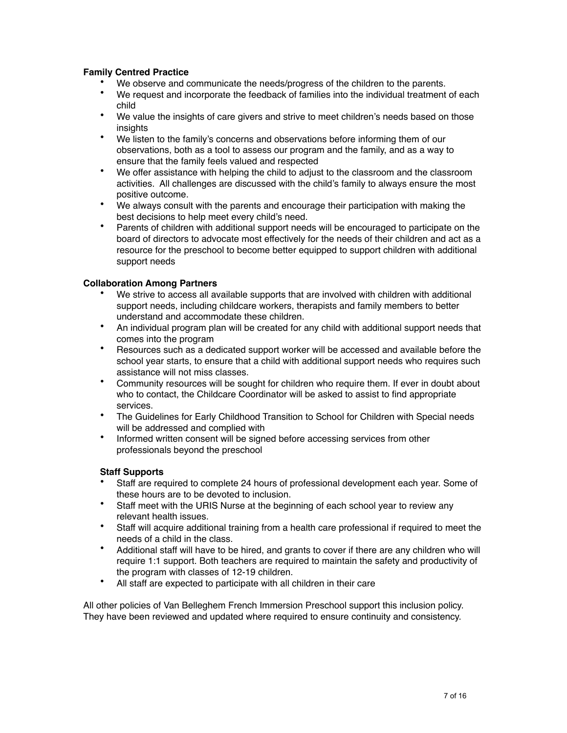#### **Family Centred Practice**

- We observe and communicate the needs/progress of the children to the parents.
- We request and incorporate the feedback of families into the individual treatment of each child
- We value the insights of care givers and strive to meet children's needs based on those insights
- We listen to the family's concerns and observations before informing them of our observations, both as a tool to assess our program and the family, and as a way to ensure that the family feels valued and respected
- We offer assistance with helping the child to adjust to the classroom and the classroom activities. All challenges are discussed with the child's family to always ensure the most positive outcome.
- We always consult with the parents and encourage their participation with making the best decisions to help meet every child's need.
- Parents of children with additional support needs will be encouraged to participate on the board of directors to advocate most effectively for the needs of their children and act as a resource for the preschool to become better equipped to support children with additional support needs

#### **Collaboration Among Partners**

- We strive to access all available supports that are involved with children with additional support needs, including childcare workers, therapists and family members to better understand and accommodate these children.
- An individual program plan will be created for any child with additional support needs that comes into the program
- Resources such as a dedicated support worker will be accessed and available before the school year starts, to ensure that a child with additional support needs who requires such assistance will not miss classes.
- Community resources will be sought for children who require them. If ever in doubt about who to contact, the Childcare Coordinator will be asked to assist to find appropriate services.
- The Guidelines for Early Childhood Transition to School for Children with Special needs will be addressed and complied with
- Informed written consent will be signed before accessing services from other professionals beyond the preschool

#### **Staff Supports**

- Staff are required to complete 24 hours of professional development each year. Some of these hours are to be devoted to inclusion.
- Staff meet with the URIS Nurse at the beginning of each school year to review any relevant health issues.
- Staff will acquire additional training from a health care professional if required to meet the needs of a child in the class.
- Additional staff will have to be hired, and grants to cover if there are any children who will require 1:1 support. Both teachers are required to maintain the safety and productivity of the program with classes of 12-19 children.
- All staff are expected to participate with all children in their care

All other policies of Van Belleghem French Immersion Preschool support this inclusion policy. They have been reviewed and updated where required to ensure continuity and consistency.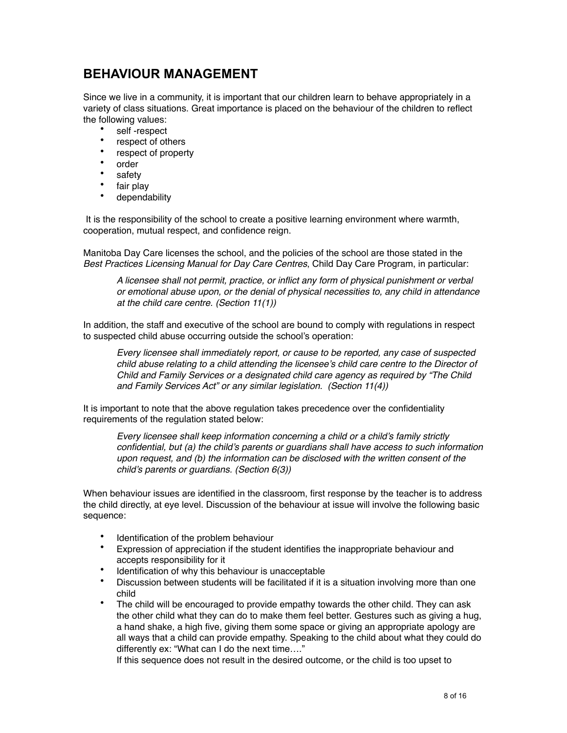## **BEHAVIOUR MANAGEMENT**

Since we live in a community, it is important that our children learn to behave appropriately in a variety of class situations. Great importance is placed on the behaviour of the children to reflect the following values:

- self -respect
- respect of others
- respect of property<br>• **exder**
- order
- safety
- fair play
- dependability

It is the responsibility of the school to create a positive learning environment where warmth, cooperation, mutual respect, and confidence reign.

Manitoba Day Care licenses the school, and the policies of the school are those stated in the *Best Practices Licensing Manual for Day Care Centres*, Child Day Care Program, in particular:

*A licensee shall not permit, practice, or inflict any form of physical punishment or verbal or emotional abuse upon, or the denial of physical necessities to, any child in attendance at the child care centre. (Section 11(1))* 

In addition, the staff and executive of the school are bound to comply with regulations in respect to suspected child abuse occurring outside the school's operation:

*Every licensee shall immediately report, or cause to be reported, any case of suspected child abuse relating to a child attending the licensee's child care centre to the Director of Child and Family Services or a designated child care agency as required by "The Child and Family Services Act" or any similar legislation. (Section 11(4))* 

It is important to note that the above regulation takes precedence over the confidentiality requirements of the regulation stated below:

*Every licensee shall keep information concerning a child or a child's family strictly confidential, but (a) the child's parents or guardians shall have access to such information upon request, and (b) the information can be disclosed with the written consent of the child's parents or guardians. (Section 6(3))* 

When behaviour issues are identified in the classroom, first response by the teacher is to address the child directly, at eye level. Discussion of the behaviour at issue will involve the following basic sequence:

- Identification of the problem behaviour
- Expression of appreciation if the student identifies the inappropriate behaviour and accepts responsibility for it
- Identification of why this behaviour is unacceptable
- Discussion between students will be facilitated if it is a situation involving more than one child
- The child will be encouraged to provide empathy towards the other child. They can ask the other child what they can do to make them feel better. Gestures such as giving a hug, a hand shake, a high five, giving them some space or giving an appropriate apology are all ways that a child can provide empathy. Speaking to the child about what they could do differently ex: "What can I do the next time…."

If this sequence does not result in the desired outcome, or the child is too upset to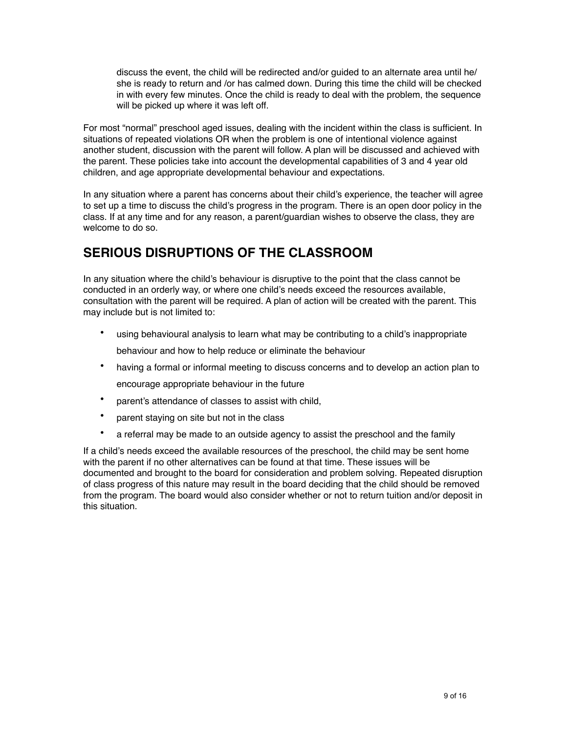discuss the event, the child will be redirected and/or guided to an alternate area until he/ she is ready to return and /or has calmed down. During this time the child will be checked in with every few minutes. Once the child is ready to deal with the problem, the sequence will be picked up where it was left off.

For most "normal" preschool aged issues, dealing with the incident within the class is sufficient. In situations of repeated violations OR when the problem is one of intentional violence against another student, discussion with the parent will follow. A plan will be discussed and achieved with the parent. These policies take into account the developmental capabilities of 3 and 4 year old children, and age appropriate developmental behaviour and expectations.

In any situation where a parent has concerns about their child's experience, the teacher will agree to set up a time to discuss the child's progress in the program. There is an open door policy in the class. If at any time and for any reason, a parent/guardian wishes to observe the class, they are welcome to do so.

## **SERIOUS DISRUPTIONS OF THE CLASSROOM**

In any situation where the child's behaviour is disruptive to the point that the class cannot be conducted in an orderly way, or where one child's needs exceed the resources available, consultation with the parent will be required. A plan of action will be created with the parent. This may include but is not limited to:

- using behavioural analysis to learn what may be contributing to a child's inappropriate behaviour and how to help reduce or eliminate the behaviour
- having a formal or informal meeting to discuss concerns and to develop an action plan to encourage appropriate behaviour in the future
- parent's attendance of classes to assist with child,
- parent staying on site but not in the class
- a referral may be made to an outside agency to assist the preschool and the family

If a child's needs exceed the available resources of the preschool, the child may be sent home with the parent if no other alternatives can be found at that time. These issues will be documented and brought to the board for consideration and problem solving. Repeated disruption of class progress of this nature may result in the board deciding that the child should be removed from the program. The board would also consider whether or not to return tuition and/or deposit in this situation.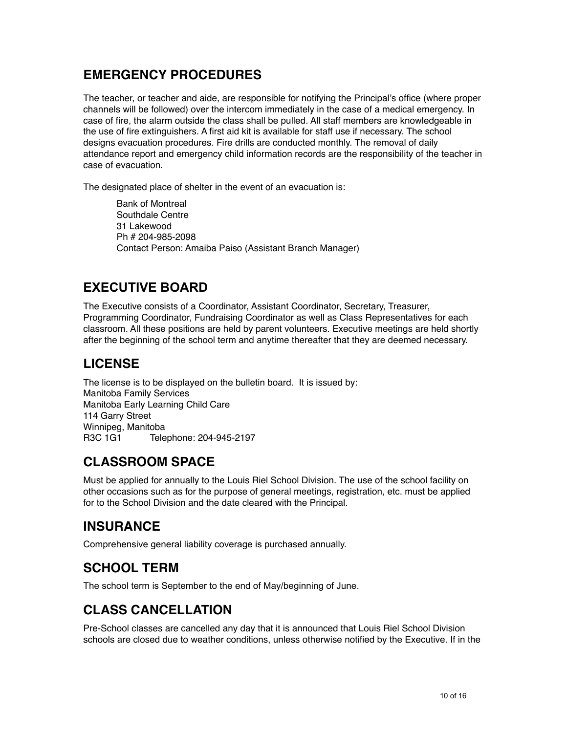## **EMERGENCY PROCEDURES**

The teacher, or teacher and aide, are responsible for notifying the Principal's office (where proper channels will be followed) over the intercom immediately in the case of a medical emergency. In case of fire, the alarm outside the class shall be pulled. All staff members are knowledgeable in the use of fire extinguishers. A first aid kit is available for staff use if necessary. The school designs evacuation procedures. Fire drills are conducted monthly. The removal of daily attendance report and emergency child information records are the responsibility of the teacher in case of evacuation.

The designated place of shelter in the event of an evacuation is:

Bank of Montreal Southdale Centre 31 Lakewood Ph # 204-985-2098 Contact Person: Amaiba Paiso (Assistant Branch Manager)

## **EXECUTIVE BOARD**

The Executive consists of a Coordinator, Assistant Coordinator, Secretary, Treasurer, Programming Coordinator, Fundraising Coordinator as well as Class Representatives for each classroom. All these positions are held by parent volunteers. Executive meetings are held shortly after the beginning of the school term and anytime thereafter that they are deemed necessary.

## **LICENSE**

The license is to be displayed on the bulletin board. It is issued by: Manitoba Family Services Manitoba Early Learning Child Care 114 Garry Street Winnipeg, Manitoba R3C 1G1 Telephone: 204-945-2197

## **CLASSROOM SPACE**

Must be applied for annually to the Louis Riel School Division. The use of the school facility on other occasions such as for the purpose of general meetings, registration, etc. must be applied for to the School Division and the date cleared with the Principal.

## **INSURANCE**

Comprehensive general liability coverage is purchased annually.

## **SCHOOL TERM**

The school term is September to the end of May/beginning of June.

## **CLASS CANCELLATION**

Pre-School classes are cancelled any day that it is announced that Louis Riel School Division schools are closed due to weather conditions, unless otherwise notified by the Executive. If in the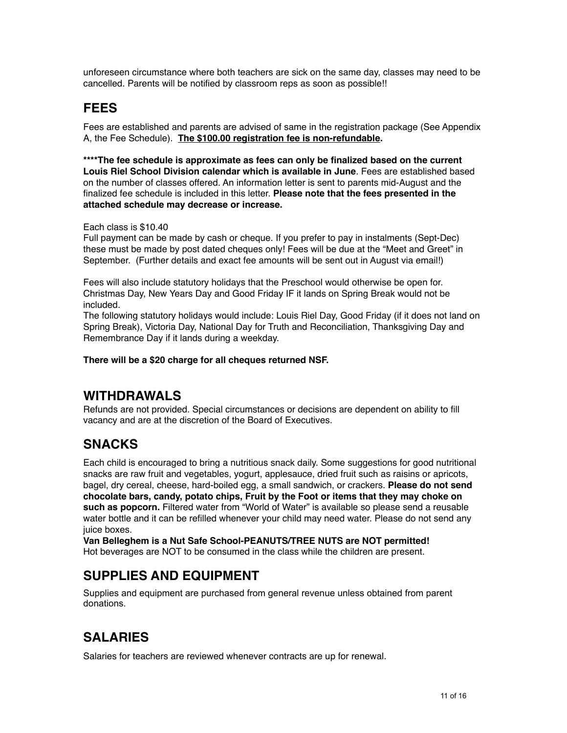unforeseen circumstance where both teachers are sick on the same day, classes may need to be cancelled. Parents will be notified by classroom reps as soon as possible!!

## **FEES**

Fees are established and parents are advised of same in the registration package (See Appendix A, the Fee Schedule). **The \$100.00 registration fee is non-refundable.** 

**\*\*\*\*The fee schedule is approximate as fees can only be finalized based on the current Louis Riel School Division calendar which is available in June**. Fees are established based on the number of classes offered. An information letter is sent to parents mid-August and the finalized fee schedule is included in this letter. **Please note that the fees presented in the attached schedule may decrease or increase.**

Each class is \$10.40

Full payment can be made by cash or cheque. If you prefer to pay in instalments (Sept-Dec) these must be made by post dated cheques only! Fees will be due at the "Meet and Greet" in September. (Further details and exact fee amounts will be sent out in August via email!)

Fees will also include statutory holidays that the Preschool would otherwise be open for. Christmas Day, New Years Day and Good Friday IF it lands on Spring Break would not be included.

The following statutory holidays would include: Louis Riel Day, Good Friday (if it does not land on Spring Break), Victoria Day, National Day for Truth and Reconciliation, Thanksgiving Day and Remembrance Day if it lands during a weekday.

#### **There will be a \$20 charge for all cheques returned NSF.**

## **WITHDRAWALS**

Refunds are not provided. Special circumstances or decisions are dependent on ability to fill vacancy and are at the discretion of the Board of Executives.

## **SNACKS**

Each child is encouraged to bring a nutritious snack daily. Some suggestions for good nutritional snacks are raw fruit and vegetables, yogurt, applesauce, dried fruit such as raisins or apricots, bagel, dry cereal, cheese, hard-boiled egg, a small sandwich, or crackers. **Please do not send chocolate bars, candy, potato chips, Fruit by the Foot or items that they may choke on such as popcorn.** Filtered water from "World of Water" is available so please send a reusable water bottle and it can be refilled whenever your child may need water. Please do not send any juice boxes.

**Van Belleghem is a Nut Safe School-PEANUTS/TREE NUTS are NOT permitted!** Hot beverages are NOT to be consumed in the class while the children are present.

## **SUPPLIES AND EQUIPMENT**

Supplies and equipment are purchased from general revenue unless obtained from parent donations.

## **SALARIES**

Salaries for teachers are reviewed whenever contracts are up for renewal.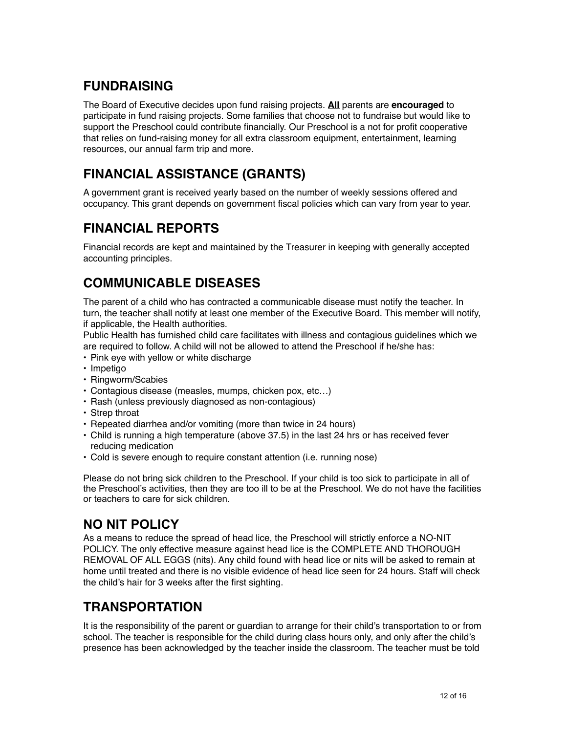## **FUNDRAISING**

The Board of Executive decides upon fund raising projects. **All** parents are **encouraged** to participate in fund raising projects. Some families that choose not to fundraise but would like to support the Preschool could contribute financially. Our Preschool is a not for profit cooperative that relies on fund-raising money for all extra classroom equipment, entertainment, learning resources, our annual farm trip and more.

## **FINANCIAL ASSISTANCE (GRANTS)**

A government grant is received yearly based on the number of weekly sessions offered and occupancy. This grant depends on government fiscal policies which can vary from year to year.

## **FINANCIAL REPORTS**

Financial records are kept and maintained by the Treasurer in keeping with generally accepted accounting principles.

## **COMMUNICABLE DISEASES**

The parent of a child who has contracted a communicable disease must notify the teacher. In turn, the teacher shall notify at least one member of the Executive Board. This member will notify, if applicable, the Health authorities.

Public Health has furnished child care facilitates with illness and contagious guidelines which we are required to follow. A child will not be allowed to attend the Preschool if he/she has:

- Pink eye with yellow or white discharge
- Impetigo
- Ringworm/Scabies
- Contagious disease (measles, mumps, chicken pox, etc…)
- Rash (unless previously diagnosed as non-contagious)
- Strep throat
- Repeated diarrhea and/or vomiting (more than twice in 24 hours)
- Child is running a high temperature (above 37.5) in the last 24 hrs or has received fever reducing medication
- Cold is severe enough to require constant attention (i.e. running nose)

Please do not bring sick children to the Preschool. If your child is too sick to participate in all of the Preschool's activities, then they are too ill to be at the Preschool. We do not have the facilities or teachers to care for sick children.

## **NO NIT POLICY**

As a means to reduce the spread of head lice, the Preschool will strictly enforce a NO-NIT POLICY. The only effective measure against head lice is the COMPLETE AND THOROUGH REMOVAL OF ALL EGGS (nits). Any child found with head lice or nits will be asked to remain at home until treated and there is no visible evidence of head lice seen for 24 hours. Staff will check the child's hair for 3 weeks after the first sighting.

## **TRANSPORTATION**

It is the responsibility of the parent or guardian to arrange for their child's transportation to or from school. The teacher is responsible for the child during class hours only, and only after the child's presence has been acknowledged by the teacher inside the classroom. The teacher must be told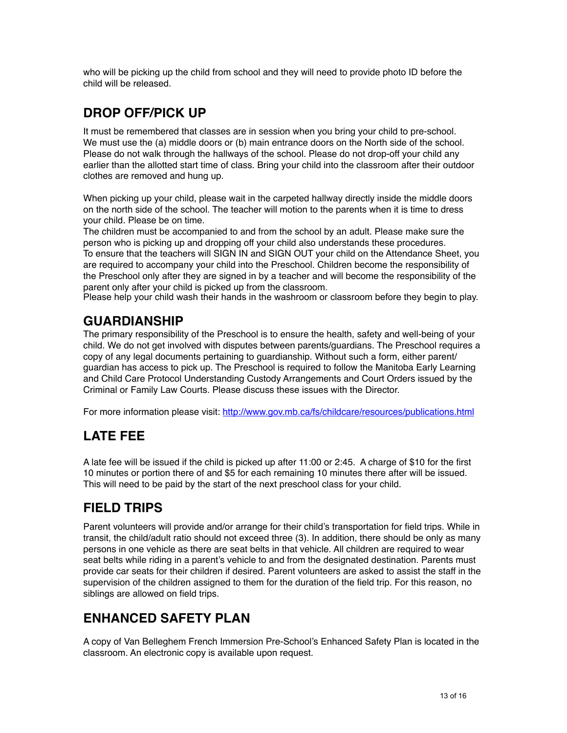who will be picking up the child from school and they will need to provide photo ID before the child will be released.

## **DROP OFF/PICK UP**

It must be remembered that classes are in session when you bring your child to pre-school. We must use the (a) middle doors or (b) main entrance doors on the North side of the school. Please do not walk through the hallways of the school. Please do not drop-off your child any earlier than the allotted start time of class. Bring your child into the classroom after their outdoor clothes are removed and hung up.

When picking up your child, please wait in the carpeted hallway directly inside the middle doors on the north side of the school. The teacher will motion to the parents when it is time to dress your child. Please be on time.

The children must be accompanied to and from the school by an adult. Please make sure the person who is picking up and dropping off your child also understands these procedures. To ensure that the teachers will SIGN IN and SIGN OUT your child on the Attendance Sheet, you are required to accompany your child into the Preschool. Children become the responsibility of the Preschool only after they are signed in by a teacher and will become the responsibility of the parent only after your child is picked up from the classroom.

Please help your child wash their hands in the washroom or classroom before they begin to play.

## **GUARDIANSHIP**

The primary responsibility of the Preschool is to ensure the health, safety and well-being of your child. We do not get involved with disputes between parents/guardians. The Preschool requires a copy of any legal documents pertaining to guardianship. Without such a form, either parent/ guardian has access to pick up. The Preschool is required to follow the Manitoba Early Learning and Child Care Protocol Understanding Custody Arrangements and Court Orders issued by the Criminal or Family Law Courts. Please discuss these issues with the Director.

For more information please visit: <http://www.gov.mb.ca/fs/childcare/resources/publications.html>

## **LATE FEE**

A late fee will be issued if the child is picked up after 11:00 or 2:45. A charge of \$10 for the first 10 minutes or portion there of and \$5 for each remaining 10 minutes there after will be issued. This will need to be paid by the start of the next preschool class for your child.

## **FIELD TRIPS**

Parent volunteers will provide and/or arrange for their child's transportation for field trips. While in transit, the child/adult ratio should not exceed three (3). In addition, there should be only as many persons in one vehicle as there are seat belts in that vehicle. All children are required to wear seat belts while riding in a parent's vehicle to and from the designated destination. Parents must provide car seats for their children if desired. Parent volunteers are asked to assist the staff in the supervision of the children assigned to them for the duration of the field trip. For this reason, no siblings are allowed on field trips.

## **ENHANCED SAFETY PLAN**

A copy of Van Belleghem French Immersion Pre-School's Enhanced Safety Plan is located in the classroom. An electronic copy is available upon request.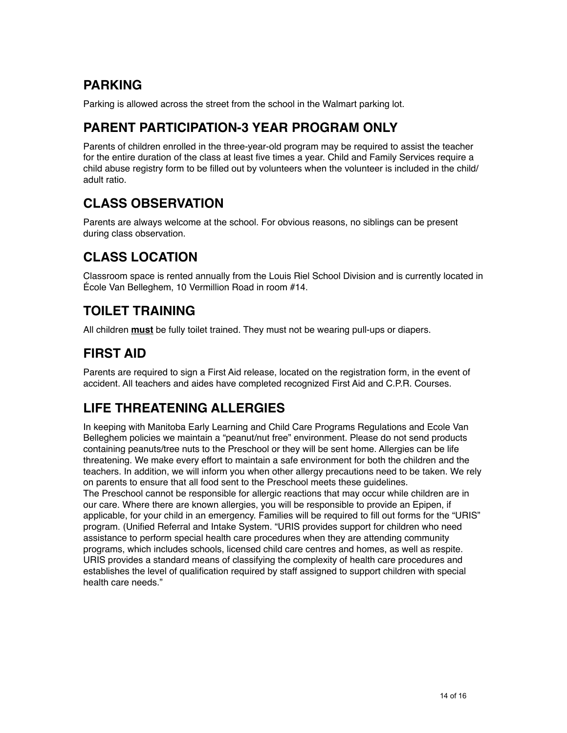## **PARKING**

Parking is allowed across the street from the school in the Walmart parking lot.

## **PARENT PARTICIPATION-3 YEAR PROGRAM ONLY**

Parents of children enrolled in the three-year-old program may be required to assist the teacher for the entire duration of the class at least five times a year. Child and Family Services require a child abuse registry form to be filled out by volunteers when the volunteer is included in the child/ adult ratio.

## **CLASS OBSERVATION**

Parents are always welcome at the school. For obvious reasons, no siblings can be present during class observation.

## **CLASS LOCATION**

Classroom space is rented annually from the Louis Riel School Division and is currently located in École Van Belleghem, 10 Vermillion Road in room #14.

## **TOILET TRAINING**

All children **must** be fully toilet trained. They must not be wearing pull-ups or diapers.

## **FIRST AID**

Parents are required to sign a First Aid release, located on the registration form, in the event of accident. All teachers and aides have completed recognized First Aid and C.P.R. Courses.

## **LIFE THREATENING ALLERGIES**

In keeping with Manitoba Early Learning and Child Care Programs Regulations and Ecole Van Belleghem policies we maintain a "peanut/nut free" environment. Please do not send products containing peanuts/tree nuts to the Preschool or they will be sent home. Allergies can be life threatening. We make every effort to maintain a safe environment for both the children and the teachers. In addition, we will inform you when other allergy precautions need to be taken. We rely on parents to ensure that all food sent to the Preschool meets these guidelines. The Preschool cannot be responsible for allergic reactions that may occur while children are in our care. Where there are known allergies, you will be responsible to provide an Epipen, if applicable, for your child in an emergency. Families will be required to fill out forms for the "URIS" program. (Unified Referral and Intake System. "URIS provides support for children who need assistance to perform special health care procedures when they are attending community programs, which includes schools, licensed child care centres and homes, as well as respite.

URIS provides a standard means of classifying the complexity of health care procedures and establishes the level of qualification required by staff assigned to support children with special health care needs."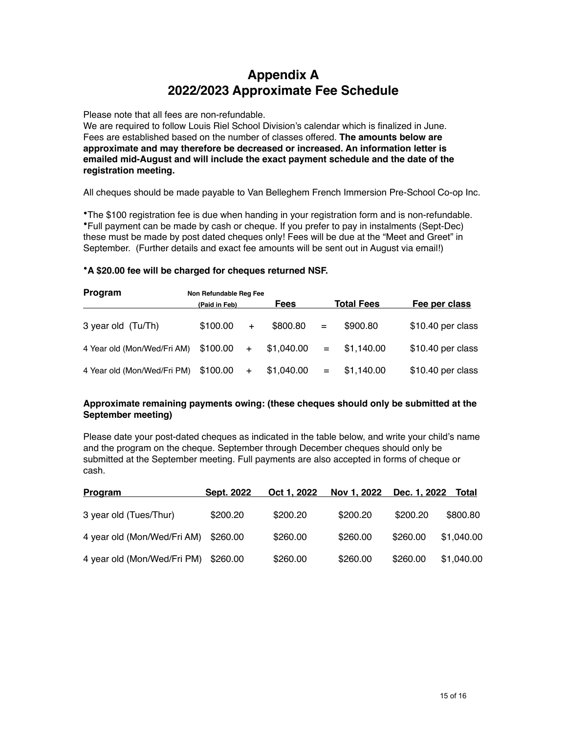## **Appendix A 2022/2023 Approximate Fee Schedule**

Please note that all fees are non-refundable.

We are required to follow Louis Riel School Division's calendar which is finalized in June. Fees are established based on the number of classes offered. **The amounts below are approximate and may therefore be decreased or increased. An information letter is emailed mid-August and will include the exact payment schedule and the date of the registration meeting.** 

All cheques should be made payable to Van Belleghem French Immersion Pre-School Co-op Inc.

•The \$100 registration fee is due when handing in your registration form and is non-refundable. •Full payment can be made by cash or cheque. If you prefer to pay in instalments (Sept-Dec) these must be made by post dated cheques only! Fees will be due at the "Meet and Greet" in September. (Further details and exact fee amounts will be sent out in August via email!)

#### •**A \$20.00 fee will be charged for cheques returned NSF.**

| Program                     | Non Refundable Req Fee |     |             |                           |                   |                   |  |  |
|-----------------------------|------------------------|-----|-------------|---------------------------|-------------------|-------------------|--|--|
|                             | (Paid in Feb)          |     | <b>Fees</b> |                           | <b>Total Fees</b> | Fee per class     |  |  |
| 3 year old (Tu/Th)          | \$100.00               | $+$ | \$800.80    | $=$                       | \$900.80          | \$10.40 per class |  |  |
| 4 Year old (Mon/Wed/Fri AM) | \$100.00               | $+$ | \$1,040.00  | $\mathbf{r} = \mathbf{r}$ | \$1,140.00        | \$10.40 per class |  |  |
| 4 Year old (Mon/Wed/Fri PM) | \$100.00               | $+$ | \$1,040.00  | $=$                       | \$1,140.00        | \$10.40 per class |  |  |

#### **Approximate remaining payments owing: (these cheques should only be submitted at the September meeting)**

Please date your post-dated cheques as indicated in the table below, and write your child's name and the program on the cheque. September through December cheques should only be submitted at the September meeting. Full payments are also accepted in forms of cheque or cash.

| <b>Program</b>                       | <b>Sept. 2022</b> | Oct 1, 2022 | Nov 1, 2022 | Dec. 1, 2022 Total |            |
|--------------------------------------|-------------------|-------------|-------------|--------------------|------------|
| 3 year old (Tues/Thur)               | \$200.20          | \$200.20    | \$200.20    | \$200.20           | \$800.80   |
| 4 year old (Mon/Wed/Fri AM) \$260.00 |                   | \$260.00    | \$260.00    | \$260.00           | \$1,040.00 |
| 4 year old (Mon/Wed/Fri PM)          | \$260.00          | \$260.00    | \$260.00    | \$260.00           | \$1,040.00 |